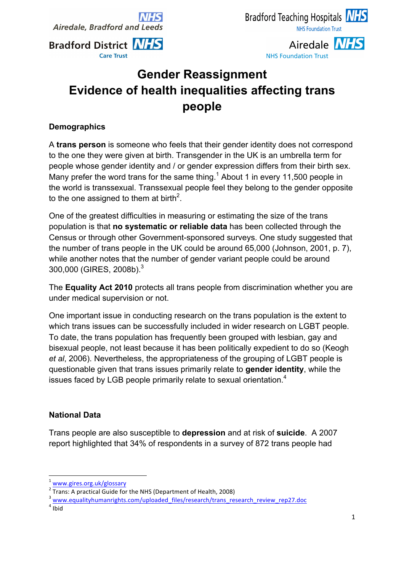**Airedale, Bradford and Leeds** 



Airedale **NHS NHS Foundation Trust** 

# **Gender Reassignment Evidence of health inequalities affecting trans people**

## **Demographics**

A **trans person** is someone who feels that their gender identity does not correspond to the one they were given at birth. Transgender in the UK is an umbrella term for people whose gender identity and / or gender expression differs from their birth sex. Many prefer the word trans for the same thing.<sup>1</sup> About 1 in every 11,500 people in the world is transsexual. Transsexual people feel they belong to the gender opposite to the one assigned to them at birth<sup>2</sup>.

One of the greatest difficulties in measuring or estimating the size of the trans population is that **no systematic or reliable data** has been collected through the Census or through other Government-sponsored surveys. One study suggested that the number of trans people in the UK could be around 65,000 (Johnson, 2001, p. 7), while another notes that the number of gender variant people could be around 300,000 (GIRES, 2008b).3

The **Equality Act 2010** protects all trans people from discrimination whether you are under medical supervision or not.

One important issue in conducting research on the trans population is the extent to which trans issues can be successfully included in wider research on LGBT people. To date, the trans population has frequently been grouped with lesbian, gay and bisexual people, not least because it has been politically expedient to do so (Keogh *et al*, 2006). Nevertheless, the appropriateness of the grouping of LGBT people is questionable given that trans issues primarily relate to **gender identity**, while the issues faced by LGB people primarily relate to sexual orientation. $4$ 

## **National Data**

Trans people are also susceptible to **depression** and at risk of **suicide**. A 2007 report highlighted that 34% of respondents in a survey of 872 trans people had

<u> 1989 - Jan Samuel Barbara, margaret e</u>

 $\frac{1}{2}$  www.gires.org.uk/glossary<br>  $\frac{2}{\pi}$  Trans: A practical Guide for the NHS (Department of Health, 2008)

<sup>&</sup>lt;sup>3</sup> www.equalityhumanrights.com/uploaded\_files/research/trans\_research\_review\_rep27.doc<br><sup>4</sup> Ibid